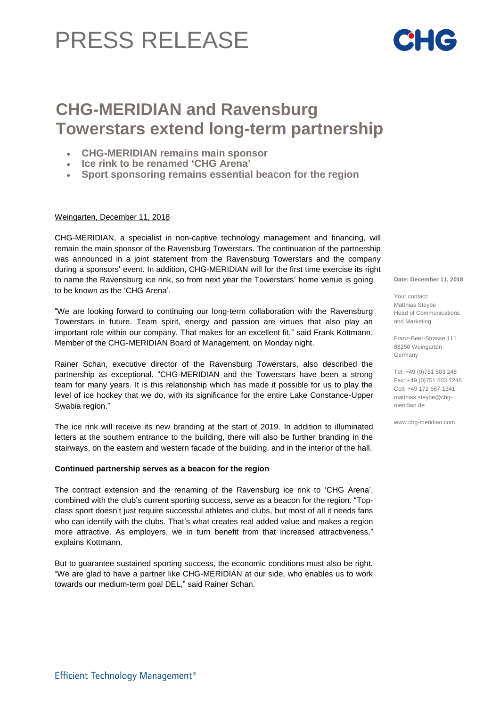# PRESS RELEASE

## **CHG-MERIDIAN and Ravensburg Towerstars extend long-term partnership**

- **CHG-MERIDIAN remains main sponsor**
- **Ice rink to be renamed 'CHG Arena'**
- **Sport sponsoring remains essential beacon for the region**

### Weingarten, December 11, 2018

CHG-MERIDIAN, a specialist in non-captive technology management and financing, will remain the main sponsor of the Ravensburg Towerstars. The continuation of the partnership was announced in a joint statement from the Ravensburg Towerstars and the company during a sponsors' event. In addition, CHG-MERIDIAN will for the first time exercise its right to name the Ravensburg ice rink, so from next year the Towerstars' home venue is going to be known as the 'CHG Arena'.

"We are looking forward to continuing our long-term collaboration with the Ravensburg Towerstars in future. Team spirit, energy and passion are virtues that also play an important role within our company. That makes for an excellent fit," said Frank Kottmann, Member of the CHG-MERIDIAN Board of Management, on Monday night.

Rainer Schan, executive director of the Ravensburg Towerstars, also described the partnership as exceptional. "CHG-MERIDIAN and the Towerstars have been a strong team for many years. It is this relationship which has made it possible for us to play the level of ice hockey that we do, with its significance for the entire Lake Constance-Upper Swabia region."

The ice rink will receive its new branding at the start of 2019. In addition to illuminated letters at the southern entrance to the building, there will also be further branding in the stairways, on the eastern and western facade of the building, and in the interior of the hall.

### **Continued partnership serves as a beacon for the region**

The contract extension and the renaming of the Ravensburg ice rink to 'CHG Arena', combined with the club's current sporting success, serve as a beacon for the region. "Topclass sport doesn't just require successful athletes and clubs, but most of all it needs fans who can identify with the clubs. That's what creates real added value and makes a region more attractive. As employers, we in turn benefit from that increased attractiveness," explains Kottmann.

But to guarantee sustained sporting success, the economic conditions must also be right. "We are glad to have a partner like CHG-MERIDIAN at our side, who enables us to work towards our medium-term goal DEL," said Rainer Schan.

**Date: December 11, 2018**

Your contact: Matthias Steybe Head of Communications and Marketing

Franz-Beer-Strasse 111 88250 Weingarten Germany

Tel: +49 (0)751 503 248 Fax: +49 (0)751 503 7248 Cell: +49 172 667-1341 [matthias.steybe@chg](mailto:matthias.steybe@chg-)meridian.de

www.chg-meridian.com